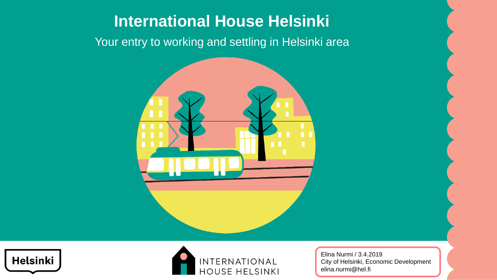## **International House Helsinki**

Your entry to working and settling in Helsinki area







Elina Nurmi / 3.4.2019 City of Helsinki, Economic Development elina.nurmi@hel.fi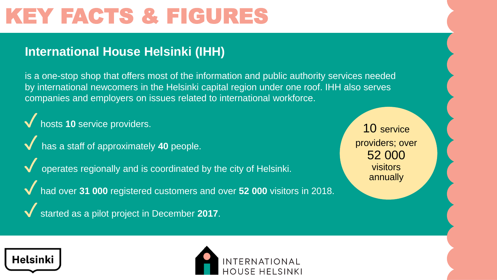# KEY FACTS & FIGURES

#### **International House Helsinki (IHH)**

is a one-stop shop that offers most of the information and public authority services needed by international newcomers in the Helsinki capital region under one roof. IHH also serves companies and employers on issues related to international workforce.

✓hosts **<sup>10</sup>** service providers.

- has a staff of approximately 40 people.
- operates regionally and is coordinated by the city of Helsinki.
- ◆ had over 31 000 registered customers and over 52 000 visitors in 2018.
- started as a pilot project in December 2017.

10 service providers; over 52 000 visitors annually



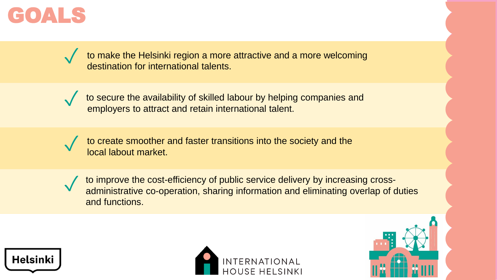

to make the Helsinki region a more attractive and a more welcoming destination for international talents. ✓



to secure the availability of skilled labour by helping companies and employers to attract and retain international talent.

to create smoother and faster transitions into the society and the local labout market.

✓

to improve the cost-efficiency of public service delivery by increasing crossadministrative co-operation, sharing information and eliminating overlap of duties and functions.





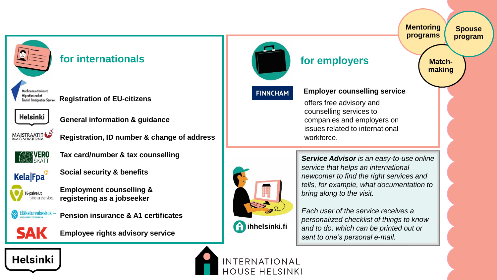

#### **for internationals for employers**

**Registration of EU-citizens**



**General information & guidance**



**Registration, ID number & change of address**



**Tax card/number & tax counselling**



**Social security & benefits**



**Employment counselling & registering as a jobseeker**







**Employee rights advisory service**



**FINNCHAM** 

#### **Employer counselling service**

offers free advisory and counselling services to companies and employers on issues related to international workforce.



*Service Advisor is an easy-to-use online service that helps an international newcomer to find the right services and tells, for example, what documentation to bring along to the visit.*

*Each user of the service receives a personalized checklist of things to know and to do, which can be printed out or sent to one's personal e-mail.*

## Helsinki



INTERNATIONAL **HOUSE HELSINKI**  **Match-**

**Spouse program**

**Mentoring programs**

**making**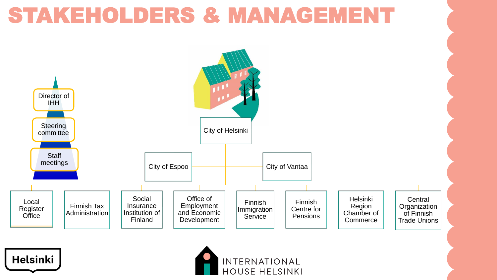## STAKEHOLDERS & MANAGEMENT

Helsinki



INTERNATIONAL

**HOUSE HELSINKI**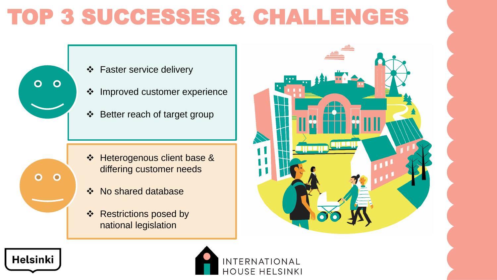# TOP 3 SUCCESSES & CHALLENGES



Helsinki